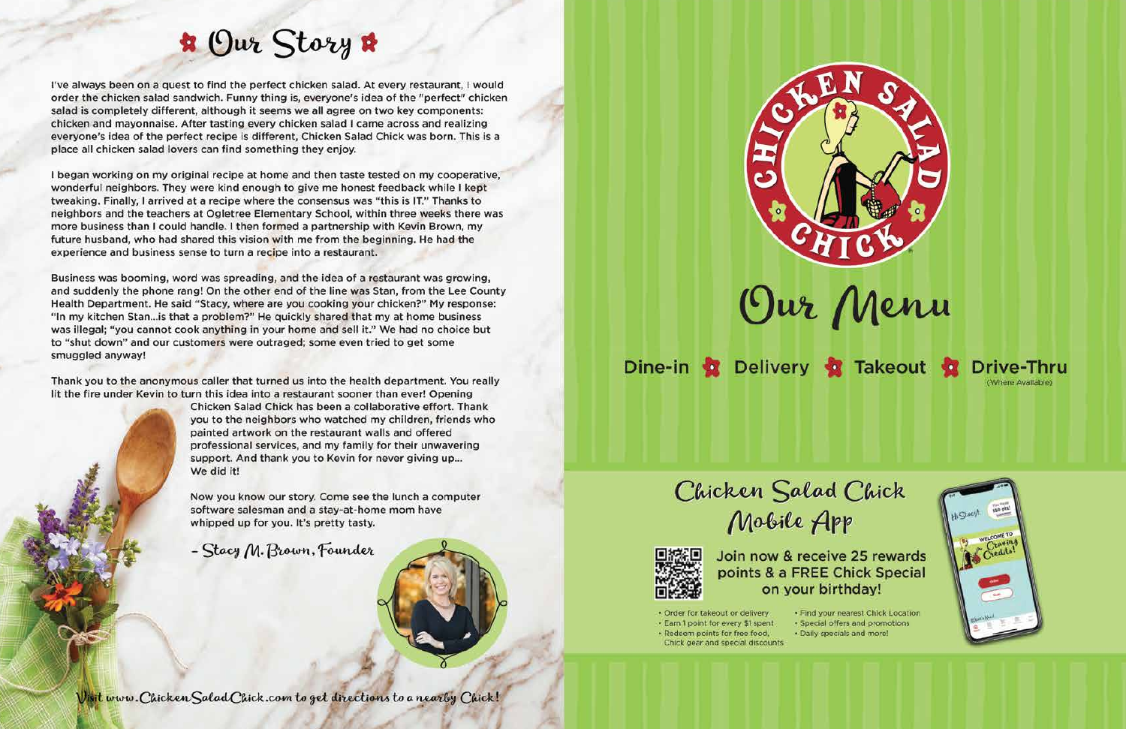## **R** Our Story &

I've always been on a quest to find the perfect chicken salad. At every restaurant, I would order the chicken salad sandwich. Funny thing is, everyone's idea of the "perfect" chicken salad is completely different, although it seems we all agree on two key components: chicken and mayonnaise. After tasting every chicken salad I came across and realizing everyone's idea of the perfect recipe is different, Chicken Salad Chick was born. This is a place all chicken salad lovers can find something they enjoy.

I began working on my original recipe at home and then taste tested on my cooperative, wonderful neighbors. They were kind enough to give me honest feedback while I kept tweaking. Finally, I arrived at a recipe where the consensus was "this is IT." Thanks to neighbors and the teachers at Ogletree Elementary School, within three weeks there was more business than I could handle. I then formed a partnership with Kevin Brown, my future husband, who had shared this vision with me from the beginning. He had the experience and business sense to turn a recipe into a restaurant.

Business was booming, word was spreading, and the idea of a restaurant was growing, and suddenly the phone rang! On the other end of the line was Stan, from the Lee County Health Department. He said "Stacy, where are you cooking your chicken?" My response: "In my kitchen Stan... is that a problem?" He quickly shared that my at home business was illegal; "you cannot cook anything in your home and sell it." We had no choice but to "shut down" and our customers were outraged; some even tried to get some smuggled anyway!

Thank you to the anonymous caller that turned us into the health department. You really lit the fire under Kevin to turn this idea into a restaurant sooner than ever! Opening

Chicken Salad Chick has been a collaborative effort. Thank you to the neighbors who watched my children, friends who painted artwork on the restaurant walls and offered professional services, and my family for their unwavering support. And thank you to Kevin for never giving up... We did it!

Now you know our story. Come see the lunch a computer software salesman and a stay-at-home mom have whipped up for you. It's pretty tasty.

- Stacy M. Brown, Founder





points & a FREE Chick Special on your birthday!

- · Order for takeout or delivery
- · Earn 1 point for every \$1 spent
- · Redeem points for free food, Chick gear and special discounts
- 





Dine-in C Delivery C Takeout **Drive-Thru** (Where Available)

## Chicken Salad Chick

Mobile App

# Join now & receive 25 rewards

· Find your nearest Chick Location · Special offers and promotions · Daily specials and more!